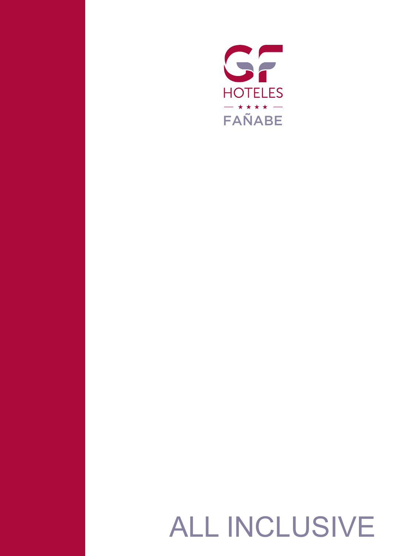

# ALL INCLUSIVE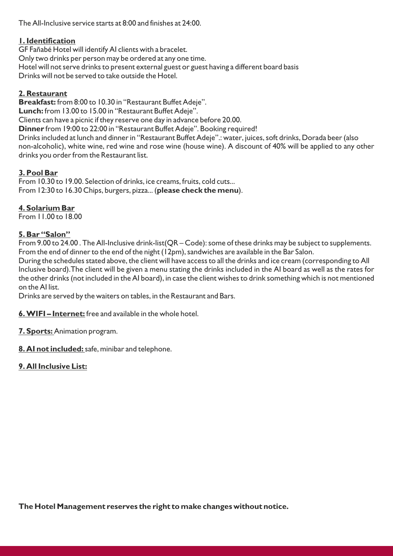The All-Inclusive service starts at 8:00 and finishes at 24:00.

### **1. Identification**

GF Fañabé Hotel will identify AI clients with a bracelet.

Only two drinks per person may be ordered at any one time.

Hotel will not serve drinks to present external guest or guest having a different board basis Drinks will not be served to take outside the Hotel.

# **2. Restaurant**

**Breakfast:** from 8:00 to 10.30 in "Restaurant Buffet Adeje".

**Lunch:** from 13.00 to 15.00 in "Restaurant Buffet Adeje".

Clients can have a picnic if they reserve one day in advance before 20.00.

**Dinner** from 19:00 to 22:00 in "Restaurant Buffet Adeje". Booking required!

Drinks included at lunch and dinner in "Restaurant Buffet Adeje".: water, juices, soft drinks, Dorada beer (also non-alcoholic), white wine, red wine and rose wine (house wine). A discount of 40% will be applied to any other drinks you order from the Restaurant list.

# **3. Pool Bar**

From 10.30 to 19.00. Selection of drinks, ice creams, fruits, cold cuts... From 12:30 to 16.30 Chips, burgers, pizza... (**please check the menu**).

# **4. Solarium Bar**

From 11.00 to 18.00

# **5. Bar "Salon"**

From 9.00 to 24.00. The All-Inclusive drink-list(QR – Code): some of these drinks may be subject to supplements. From the end of dinner to the end of the night (12pm), sandwiches are available in the Bar Salon.

During the schedules stated above, the client will have access to all the drinks and ice cream (corresponding to All Inclusive board).The client will be given a menu stating the drinks included in the AI board as well as the rates for the other drinks (not included in the AI board), in case the client wishes to drink something which is not mentioned on the AI list.

Drinks are served by the waiters on tables, in the Restaurant and Bars.

**6. WIFI – Internet:** free and available in the whole hotel.

- **7. Sports:** Animation program.
- **8. AI not included:** safe, minibar and telephone.

# **9. All Inclusive List:**

**The Hotel Management reserves the right to make changes without notice.**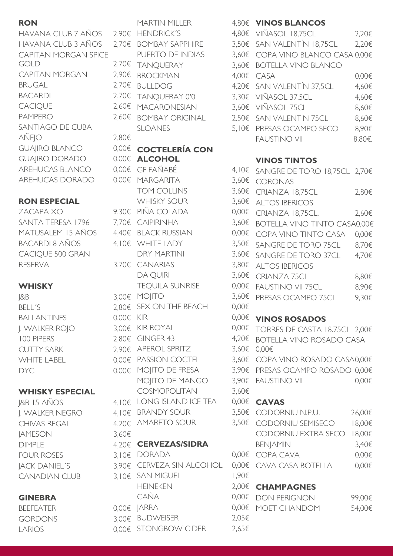# **RON**

HAVANA CLUB 7 AÑOS HAVANA CLUB 3 AÑOS CAPITAN MORGAN SPICE GOLD 2,70€ CAPITAN MORGAN **BRUGAL BACARDI CACIQUE** PAMPERO SANTIAGO DE CUBA  $AÑEIO$  2,80€ **GUAIIRO BLANCO** GUAIIRO DORADO AREHUCAS BLANCO AREHUCAS DORADO

# **RON ESPECIAL**

ZACAPA XO 9,30€ SANTA TERESA 1796 MATUSALEM 15 AÑOS BACARDI 8 AÑOS CACIQUE 500 GRAN **RESERVA** 

# **WHISKY**

BELL<sup>'S</sup> BALLANTINES 0,00€ KIR J. WALKER ROJO 3,00€ 100 PIPERS **CUTTY SARK** WHITE LABEL

# **WHISKY ESPECIAL**

 $18B$  15  $A\tilde{N}OS$ **I. WALKER NEGRO** CHIVAS REGAL JAMESON 3,60€ DIMPLE **FOUR ROSES JACK DANIEL'S** CANADIAN CLUB

# **GINEBRA**

**BEEFEATER** GORDONS LARIOS

J&B 3,00€ MOJITO 3,60€ DYC 0,00€ MOJITO DE FRESA 3,90€ MARTIN MILLER  $2.90f$  HENDRICK´S 4, 2.70€ BOMBAY SAPPHIRE 3. PUERTO DE INDIAS 3.  $2,70€$  TANOUERAY 3,  $2,90\epsilon$  BROCKMAN 4,000  $2,70 \in BULLDOG$  4,  $2,70€$  TANOUERAY 0'0 3,  $2,60€$  MACARONESIAN 3,  $2,60€$  BOMBAY ORIGINAL 2, SLOANES 5, **COCTELERÍA CON 0.00€ ALCOHOL**  $0,00€$  GF FAÑABÉ 4,  $0,00€$  MARGARITA 3, TOM COLLINS 3. WHISKY SOUR 3,  $9.30f$  PIÑA COLADA  $0.006$  $7.70\epsilon$  CAIPIRINHA 3, 4,40€ BLACK RUSSIAN 0,0  $4.10f$  WHITE LADY 3, DRY MARTINI 3,  $3.70\epsilon$  CANARIAS  $3.90\epsilon$ DAIOUIRI 3, TEOUILA SUNRISE 0,000  $2.80\epsilon$  SEX ON THE BEACH 0, KIR  $0,00€$  $3,00\in$  KIR ROYAL 0,  $2.80€$  GINGER 43 4,200€ 2,90€ APEROL SPRITZ 3, 0.00€ PASSION COCTEL 3, MOIITO DE MANGO 3, COSMOPOLITAN 3,  $4.10\epsilon$  LONG ISLAND ICE TEA 0.  $4.10\epsilon$  BRANDY SOUR 3, 4,20€ AMARETO SOUR 3. **CERVEZAS/SIDRA**  $3.10\epsilon$  DORADA 0,0 3.90€ CERVEZA SIN ALCOHOL 0,  $3,10\epsilon$  SAN MIGUEL 1. HEINEKEN 2,006  $CA\tilde{N}A$  0,000€ 0,000€ 0,000€ 0,000€ 0,000€ 0,000€ 0,000€ 0,000€ 0,000€ 0,000€ 0,000€ 0,000€ 0,000€ 0,000€ 0,000€ 0,000€ 0,000€ 0,000€ 0,000€ 0,000€ 0,000€ 0,000€ 0,000€ 0,000€ 0,000€ 0,000€ 0,000€ 0,000€ 0,000€ 0,000€  $0.006$  JARRA  $0$ ,  $3.006$  BUDWEISER 2,  $0.00€$  STONGBOW CIDER 2,65€

# **VINOS BLANCOS**

| 80€ VIÑASOL 18,75CL             | 2,20€  |
|---------------------------------|--------|
| 50€ SAN VALENTÍN 18,75CL        | 2,20€  |
| 60€ COPA VINO BLANCO CASA 0,00€ |        |
| 60€ BOTELLA VINO BLANCO         |        |
| 00€ CASA                        | 0,00€  |
| 20€ SAN VALENTÍN 37,5CL         | 4,60€  |
| 30€ VIÑASOL 37,5CL              | 4,60€  |
| 60€ VIÑASOL 75CL                | 8,60€  |
| 50€ SAN VALENTIN 75CL           | 8,60€  |
| 10€ PRESAS OCAMPO SECO          | 8,90€  |
| <b>FAUSTINO VII</b>             | 8.80€. |

# **VINOS TINTOS**

| 10€        | SANGRE DE TORO 18,75CL $2,70$ € |        |
|------------|---------------------------------|--------|
| 60€        | <b>CORONAS</b>                  |        |
| 60€        | CRIANZA 18,75CL                 | 2,80€  |
| 60€        | <b>ALTOS IBERICOS</b>           |        |
| 00€        | CRIANZA 18,75CL.                | 2,60€  |
| 60€        | BOTELLA VINO TINTO CASA0,00€    |        |
| 00€        | COPA VINO TINTO CASA            | 0,00€  |
| 50€        | SANGRE DE TORO 75CL             | 8,70€  |
| 60€        | SANGRE DE TORO 37CL             | 4,70€  |
| 80€        | <b>ALTOS IBERICOS</b>           |        |
| 60€        | <b>CRIANZA 75CL</b>             | 8,80€  |
| 00€        | <b>FAUSTINO VII 75CL</b>        | 8,90€  |
| 60€        | PRESAS OCAMPO 75CL              | 9,30€  |
| 00€        |                                 |        |
| 00€        | <b>VINOS ROSADOS</b>            |        |
| 00€        | TORRES DE CASTA 18.75CL 2,00€   |        |
| 20€        | <b>BOTELLA VINO ROSADO CASA</b> |        |
| 60€        | 0,00€                           |        |
| 60€        | COPA VINO ROSADO CASA0,00€      |        |
| 90€        | PRESAS OCAMPO ROSADO 0,00€      |        |
| 90€<br>60€ | <b>FAUSTINO VII</b>             | 0,00€  |
| 00€        | <b>CAVAS</b>                    |        |
| 50€        | CODORNIU N.P.U.                 | 26,00€ |
| 50€        | CODORNIU SEMISECO               | 18,00€ |
|            | CODORNIU EXTRA SECO             | 18,00€ |
|            | <b>BENJAMIN</b>                 | 3,40€  |
| 00€        | COPA CAVA                       | 0,00€  |
| 00€        | CAVA CASA BOTELLA               | 0,00€  |
| 90€        |                                 |        |
| 00€        | <b>CHAMPAGNES</b>               |        |
| 00€        | <b>DON PERIGNON</b>             | 99,00€ |
| 00€        | <b>MOET CHANDOM</b>             | 54,00€ |
| 05€        |                                 |        |
| 65f        |                                 |        |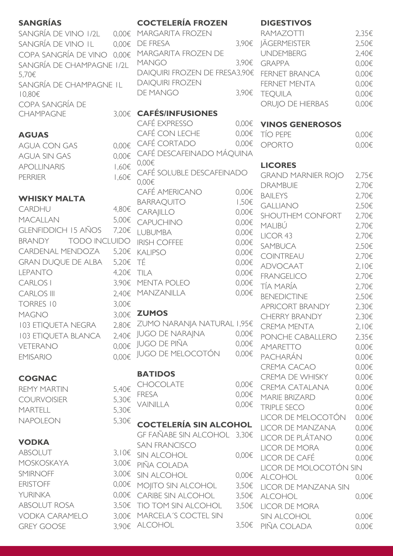| <b>SANGRÍAS</b>                        |            | <b>COCTELERÍA FROZEN</b>           |                | <b>DIGESTIVOS</b>                    |
|----------------------------------------|------------|------------------------------------|----------------|--------------------------------------|
| SANGRÍA DE VINO 1/2L                   | 0,00€      | MARGARITA FROZEN                   |                | RAMAZOTTI                            |
| SANGRÍA DE VINO IL                     | $0,00 \in$ | DE FRESA                           | 3,90€          | <b>JÄGERMEISTER</b>                  |
| COPA SANGRÍA DE VINO 0,00€             |            | MARGARITA FROZEN DE                |                | <b>UNDEMBERG</b>                     |
| SANGRÍA DE CHAMPAGNE I/2L              |            | <b>MANGO</b>                       | 3,90€          | <b>GRAPPA</b>                        |
| 5,70€                                  |            | DAIQUIRI FROZEN DE FRESA3,90€      |                | <b>FERNET BRAN</b>                   |
| SANGRÍA DE CHAMPAGNE IL<br>$10,80 \in$ |            | <b>DAIQUIRI FROZEN</b><br>DE MANGO | 3,90€          | <b>FERNET MENT</b><br><b>TEQUILA</b> |
| COPA SANGRÍA DE                        |            |                                    |                | ORUJO DE HIE                         |
| <b>CHAMPAGNE</b>                       | 3,00€      | <b>CAFÉS/INFUSIONES</b>            |                |                                      |
|                                        |            | CAFÉ EXPRESSO                      | 0,00€          | <b>VINOS GENE</b>                    |
| <b>AGUAS</b>                           |            | CAFÉ CON LECHE                     | 0,00€          | <b>TÍO PEPE</b>                      |
| <b>AGUA CON GAS</b>                    | 0,00€      | CAFÉ CORTADO                       | 0,00€          | <b>OPORTO</b>                        |
| <b>AGUA SIN GAS</b>                    | 0.005      | CAFÉ DESCAFEINADO MÁQUINA          |                |                                      |
| <b>APOLLINARIS</b>                     | $1,60 \in$ | 0,00€                              |                | <b>LICORES</b>                       |
| <b>PERRIER</b>                         | 1,60€      | CAFÉ SOLUBLE DESCAFEINADO          |                | <b>GRAND MARN</b>                    |
|                                        |            | $0,00 \in$                         |                | <b>DRAMBUIE</b>                      |
|                                        |            | CAFÉ AMERICANO                     | 0,00€          | <b>BAILEYS</b>                       |
| <b>WHISKY MALTA</b>                    |            | <b>BARRAQUITO</b>                  | $1,50 \in$     | <b>GALLIANO</b>                      |
| CARDHU                                 | 4,80€      | CARAJILLO                          | $0,00 \in$     | <b>SHOUTHEM CO</b>                   |
| <b>MACALLAN</b>                        | 5,00€      | CAPUCHINO                          | $0,00 \in$     | MALIBÚ                               |
| <b>GLENFIDDICH 15 AÑOS</b>             | 7,20€      | <b>LUBUMBA</b>                     | $0,00 \in$     | LICOR 43                             |
| <b>TODO INCLUIDO</b><br><b>BRANDY</b>  |            | <b>IRISH COFFEE</b>                | $0,00 \in$     | SAMBUCA                              |
| CARDENAL MENDOZA                       | 5,20€      | <b>KALIPSO</b>                     | $0,00 \in$     | COINTREAU                            |
| <b>GRAN DUQUE DE ALBA</b>              | 5,20€      | TÉ                                 | $0,00 \in$     | <b>ADVOCAAT</b>                      |
| <b>LEPANTO</b>                         | 4,20€      | TILA                               | $0,00 \in$     | <b>FRANGELICO</b>                    |
| <b>CARLOS I</b>                        | 3,90€      | MENTA POLEO                        | 0,00€          | TÍA MARÍA                            |
| <b>CARLOS III</b>                      | 2,40€      | MANZANILLA                         | 0,00€          | <b>BENEDICTINE</b>                   |
| <b>TORRES 10</b>                       | 3,00€      |                                    |                | <b>APRICORT BRA</b>                  |
| <b>MAGNO</b>                           |            | 3,00€ ZUMOS                        |                | <b>CHERRY BRAN</b>                   |
| <b>103 ETIQUETA NEGRA</b>              |            | 2,80€ ZUMO NARANJA NATURAL I,95€   |                | <b>CREMA MENTA</b>                   |
| <b>103 ETIQUETA BLANCA</b>             | 2,40€      | JUGO DE NARAJNA                    | 0,00€          | PONCHE CAB/                          |
| VETERANO                               |            | $0,00 \in$ JUGO DE PIÑA            | 0,00€          | <b>AMARETTO</b>                      |
| <b>EMISARIO</b>                        | $0,00 \in$ | JUGO DE MELOCOTÓN                  | 0,00€          | PACHARÁN                             |
|                                        |            |                                    |                | <b>CREMA CACA</b>                    |
| <b>COGNAC</b>                          |            | <b>BATIDOS</b>                     |                | CREMA DE WH                          |
| <b>REMY MARTIN</b>                     | 5,40€      | <b>CHOCOLATE</b>                   | 0,00€          | <b>CREMA CATAL</b>                   |
| <b>COURVOISIER</b>                     | 5,30€      | <b>FRESA</b>                       | 0,00€          | <b>MARIE BRIZARI</b>                 |
| <b>MARTELL</b>                         | 5,30€      | VAINILLA                           | 0,00€          | <b>TRIPLE SECO</b>                   |
| <b>NAPOLEON</b>                        | 5,30€      |                                    |                | LICOR DE MEL                         |
|                                        |            | <b>COCTELERÍA SIN ALCOHOL</b>      |                | LICOR DE MAN                         |
| <b>VODKA</b>                           |            | GF FAÑABE SIN ALCOHOL 3,30€        |                | LICOR DE PLÁT                        |
| <b>ABSOLUT</b>                         | $3,10 \in$ | <b>SAN FRANCISCO</b>               |                | LICOR DE MOF                         |
| <b>MOSKOSKAYA</b>                      | 3,00€      | SIN ALCOHOL                        | 0,00€          | LICOR DE CAF                         |
| SMIRNOFF                               |            | PIÑA COLADA                        |                | LICOR DE MOI                         |
| <b>ERISTOFF</b>                        |            | 3,00€ SIN ALCOHOL                  | 0,00€          | <b>ALCOHOL</b>                       |
|                                        |            | 0,00€ MO ITO SIN ALCOHOL           | 3,50€          | LICOR DE MAN                         |
| <b>YURINKA</b>                         |            | 0,00€ CARIBE SIN ALCOHOL           | 3,50€          | <b>ALCOHOL</b>                       |
| <b>ABSOLUT ROSA</b>                    |            | 3,50€ TIO TOM SIN ALCOHOL          | $3,50\epsilon$ | LICOR DE MOF                         |
| <b>VODKA CARAMELO</b>                  | 3,00€      | MARCELA'S COCTEL SIN               |                | <b>SIN ALCOHOL</b>                   |
| <b>GREY GOOSE</b>                      | 3,90€      | <b>ALCOHOL</b>                     | $3,50 \in$     | PIÑA COLADA                          |

| ZEN    | RAMAZOTTI                     | $2,35 \in$ |
|--------|-------------------------------|------------|
|        | 3,90€ JÄGERMEISTER            | 2,50€      |
| ZEN DE | <b>UNDEMBERG</b>              | 2,40€      |
|        | 3,90€ GRAPPA                  | $0.00 \in$ |
|        | V DE FRESA3,90€ FERNET BRANCA | 0.005      |
| ↘      | <b>FERNET MENTA</b>           | $0,00 \in$ |
|        | 3,90€ TEQUILA                 | $0,00 \in$ |
|        | ORUJO DE HIERBAS              | $0,00 \in$ |
|        |                               |            |

# CAFÉ EXPRESSO 0,00€ **VINOS GENEROSOS**

| <b>TÍO PEPE</b> | $0.00 \in$ |
|-----------------|------------|
| OPORTO          | $0,00 \in$ |

### **LICORES**

| ESCAFEINADO       |            | <b>GRAND MARNIER ROJO</b> | 2,75€      |
|-------------------|------------|---------------------------|------------|
|                   |            | <b>DRAMBUIE</b>           | 2,70€      |
| Э                 | 0,00€      | <b>BAILEYS</b>            | 2,70€      |
|                   | 1,50€      | <b>GALLIANO</b>           | 2,50€      |
|                   | 0,00€      | <b>SHOUTHEM CONFORT</b>   | 2,70€      |
|                   | 0,00€      | MALIBÚ                    | 2,70€      |
|                   | 0,00€      | LICOR 43                  | 2,70€      |
|                   | 0,00€      | <b>SAMBUCA</b>            | 2,50€      |
|                   | $0,00 \in$ | <b>COINTREAU</b>          | 2,70€      |
|                   | 0,00€      | <b>ADVOCAAT</b>           | $2,10 \in$ |
|                   | $0,00 \in$ | <b>FRANGELICO</b>         | 2,70€      |
|                   | 0,00€      | TÍA MARÍA                 | 2,70€      |
|                   | 0,00€      | <b>BENEDICTINE</b>        | 2,50€      |
|                   |            | <b>APRICORT BRANDY</b>    | 2,30€      |
|                   |            | <b>CHERRY BRANDY</b>      | 2,30€      |
| NATURAL I,95€     |            | <b>CREMA MENTA</b>        | 2,10€      |
| JA                | $0,00 \in$ | PONCHE CABALLERO          | 2,35€      |
| OTÓN              | 0,00€      | <b>AMARETTO</b>           | 0,00€      |
|                   | 0,00€      | PACHARÁN                  | 0,00€      |
|                   |            | CREMA CACAO               | 0,00€      |
|                   |            | <b>CREMA DE WHISKY</b>    | 0,00€      |
|                   | 0,00€      | <b>CREMA CATALANA</b>     | 0,00€      |
|                   | 0,00€      | <b>MARIE BRIZARD</b>      | 0,00€      |
|                   | 0,00€      | <b>TRIPLE SECO</b>        | 0,00€      |
|                   |            | LICOR DE MELOCOTÓN        | 0,00€      |
| <b>IN ALCOHOL</b> |            | LICOR DE MANZANA          | 0,00€      |
| LCOHOL 3,30€      |            | LICOR DE PLÁTANO          | 0,00€      |
|                   |            | <b>LICOR DE MORA</b>      | 0,00€      |
|                   | 0,00€      | LICOR DE CAFÉ             | 0,00€      |
|                   |            | LICOR DE MOLOCOTÓN SIN    |            |
|                   | 0,00€      | <b>ALCOHOL</b>            | 0,00€      |
| JHOL              | 3,50€      | LICOR DE MANZANA SIN      |            |
| <b>HOL</b>        | 3,50€      | <b>ALCOHOL</b>            | 0,00€      |
| COHOL             | 3,50€      | <b>LICOR DE MORA</b>      |            |
| <b>TEL SIN</b>    |            | <b>SIN ALCOHOL</b>        | 0,00€      |
|                   | 3,50€      | PIÑA COLADA               | 0,00€      |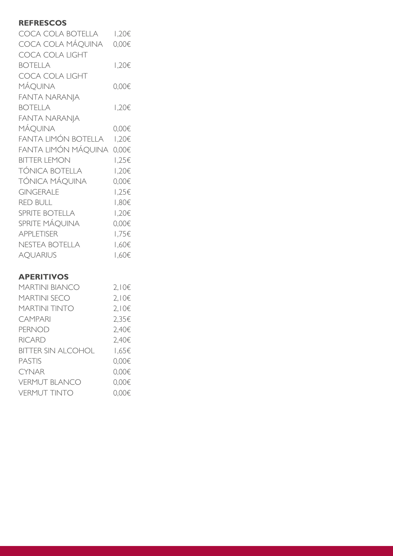# **REFRESCOS**

| COCA COLA BOTELLA     | 1,20€  |
|-----------------------|--------|
| COCA COLA MÁQUINA     | 0,00€  |
| COCA COLA LIGHT       |        |
| <b>BOTELLA</b>        | 1,20€  |
| COCA COLA LIGHT       |        |
| MÁQUINA               | 0,00€  |
| <b>FANTA NARANJA</b>  |        |
| <b>BOTELLA</b>        | 1,20€  |
| <b>FANTA NARANJA</b>  |        |
| MÁQUINA               | 0,00€  |
| FANTA LIMÓN BOTELLA   | 1,20€  |
| FANTA LIMÓN MÁQUINA   | 0,00€  |
| <b>BITTER LEMON</b>   | 1,25€  |
| TÓNICA BOTELLA        | 1,20€  |
| TÓNICA MÁQUINA        | 0,00€  |
| <b>GINGERALE</b>      | 1,25€  |
| <b>RED BULL</b>       | 908, I |
| <b>SPRITE BOTELLA</b> | 1,20€  |
| SPRITE MÁQUINA        | 0,00€  |
| <b>APPLETISER</b>     | 1,75€  |
| NESTEA BOTELLA        | 1,60€  |
| <b>AQUARIUS</b>       | 1,60€  |

# **APERITIVOS**

| MARTINI BIANCO       | 2,10€      |
|----------------------|------------|
| <b>MARTINI SECO</b>  | $2,10 \in$ |
| MARTINI TINTO        | $2,10 \in$ |
| <b>CAMPARI</b>       | 2,35€      |
| <b>PERNOD</b>        | 2,40€      |
| <b>RICARD</b>        | 2,40€      |
| BITTER SIN ALCOHOL   | 1,65€      |
| <b>PASTIS</b>        | 0,00€      |
| <b>CYNAR</b>         | 0,00€      |
| <b>VERMUT BLANCO</b> | 0,00€      |
| <b>VERMUT TINTO</b>  | 0.00€      |
|                      |            |